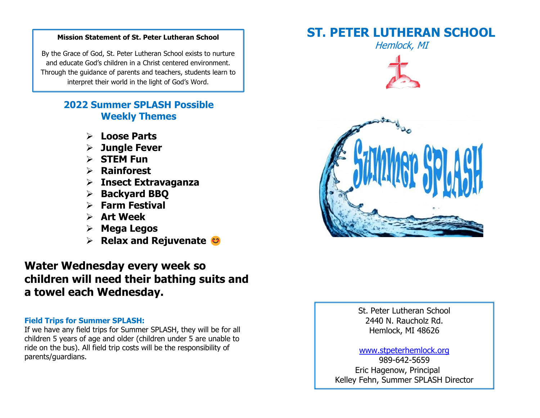#### **Mission Statement of St. Peter Lutheran School**

By the Grace of God, St. Peter Lutheran School exists to nurture and educate God's children in a Christ centered environment. Through the guidance of parents and teachers, students learn to interpret their world in the light of God's Word.

## **2022 Summer SPLASH Possible Weekly Themes**

- ➢ **Loose Parts**
- ➢ **Jungle Fever**
- ➢ **STEM Fun**
- ➢ **Rainforest**
- ➢ **Insect Extravaganza**
- ➢ **Backyard BBQ**
- ➢ **Farm Festival**
- ➢ **Art Week**
- ➢ **Mega Legos**
- ➢ **Relax and Rejuvenate**

# **Water Wednesday every week so children will need their bathing suits and a towel each Wednesday.**

#### **Field Trips for Summer SPLASH:**

If we have any field trips for Summer SPLASH, they will be for all children 5 years of age and older (children under 5 are unable to ride on the bus). All field trip costs will be the responsibility of parents/guardians.

# **ST. PETER LUTHERAN SCHOOL**







St. Peter Lutheran School 2440 N. Raucholz Rd. Hemlock, MI 48626

#### [www.stpeterhemlock.org](http://www.stpeterhemlock.org/)

989-642-5659 Eric Hagenow, Principal Kelley Fehn, Summer SPLASH Director

878-295-5763